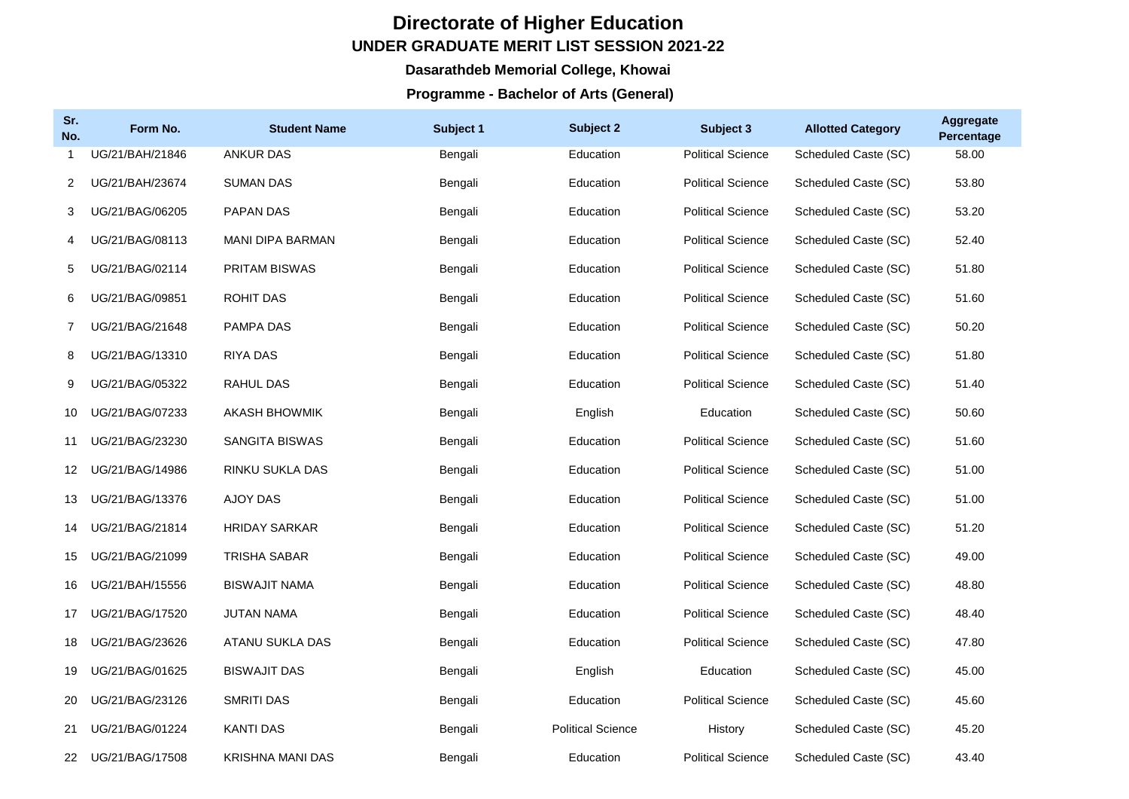## **Directorate of Higher Education UNDER GRADUATE MERIT LIST SESSION 2021-22**

## **Dasarathdeb Memorial College, Khowai**

## **Programme - Bachelor of Arts (General)**

| Sr.<br>No.  | Form No.        | <b>Student Name</b>     | Subject 1 | Subject 2                | Subject 3                | <b>Allotted Category</b> | <b>Aggregate</b><br>Percentage |
|-------------|-----------------|-------------------------|-----------|--------------------------|--------------------------|--------------------------|--------------------------------|
|             | UG/21/BAH/21846 | <b>ANKUR DAS</b>        | Bengali   | Education                | <b>Political Science</b> | Scheduled Caste (SC)     | 58.00                          |
| 2           | UG/21/BAH/23674 | <b>SUMAN DAS</b>        | Bengali   | Education                | <b>Political Science</b> | Scheduled Caste (SC)     | 53.80                          |
| 3           | UG/21/BAG/06205 | <b>PAPAN DAS</b>        | Bengali   | Education                | <b>Political Science</b> | Scheduled Caste (SC)     | 53.20                          |
| 4           | UG/21/BAG/08113 | <b>MANI DIPA BARMAN</b> | Bengali   | Education                | <b>Political Science</b> | Scheduled Caste (SC)     | 52.40                          |
| 5           | UG/21/BAG/02114 | <b>PRITAM BISWAS</b>    | Bengali   | Education                | <b>Political Science</b> | Scheduled Caste (SC)     | 51.80                          |
| 6           | UG/21/BAG/09851 | ROHIT DAS               | Bengali   | Education                | <b>Political Science</b> | Scheduled Caste (SC)     | 51.60                          |
| $7^{\circ}$ | UG/21/BAG/21648 | <b>PAMPA DAS</b>        | Bengali   | Education                | <b>Political Science</b> | Scheduled Caste (SC)     | 50.20                          |
| 8           | UG/21/BAG/13310 | <b>RIYA DAS</b>         | Bengali   | Education                | <b>Political Science</b> | Scheduled Caste (SC)     | 51.80                          |
| 9           | UG/21/BAG/05322 | RAHUL DAS               | Bengali   | Education                | <b>Political Science</b> | Scheduled Caste (SC)     | 51.40                          |
| 10          | UG/21/BAG/07233 | <b>AKASH BHOWMIK</b>    | Bengali   | English                  | Education                | Scheduled Caste (SC)     | 50.60                          |
| 11          | UG/21/BAG/23230 | <b>SANGITA BISWAS</b>   | Bengali   | Education                | <b>Political Science</b> | Scheduled Caste (SC)     | 51.60                          |
| 12          | UG/21/BAG/14986 | RINKU SUKLA DAS         | Bengali   | Education                | <b>Political Science</b> | Scheduled Caste (SC)     | 51.00                          |
| 13          | UG/21/BAG/13376 | <b>AJOY DAS</b>         | Bengali   | Education                | <b>Political Science</b> | Scheduled Caste (SC)     | 51.00                          |
| 14          | UG/21/BAG/21814 | <b>HRIDAY SARKAR</b>    | Bengali   | Education                | <b>Political Science</b> | Scheduled Caste (SC)     | 51.20                          |
| 15          | UG/21/BAG/21099 | <b>TRISHA SABAR</b>     | Bengali   | Education                | <b>Political Science</b> | Scheduled Caste (SC)     | 49.00                          |
| 16          | UG/21/BAH/15556 | <b>BISWAJIT NAMA</b>    | Bengali   | Education                | <b>Political Science</b> | Scheduled Caste (SC)     | 48.80                          |
| 17          | UG/21/BAG/17520 | <b>JUTAN NAMA</b>       | Bengali   | Education                | <b>Political Science</b> | Scheduled Caste (SC)     | 48.40                          |
| 18          | UG/21/BAG/23626 | ATANU SUKLA DAS         | Bengali   | Education                | <b>Political Science</b> | Scheduled Caste (SC)     | 47.80                          |
| 19          | UG/21/BAG/01625 | <b>BISWAJIT DAS</b>     | Bengali   | English                  | Education                | Scheduled Caste (SC)     | 45.00                          |
| 20          | UG/21/BAG/23126 | SMRITI DAS              | Bengali   | Education                | <b>Political Science</b> | Scheduled Caste (SC)     | 45.60                          |
| 21          | UG/21/BAG/01224 | <b>KANTI DAS</b>        | Bengali   | <b>Political Science</b> | History                  | Scheduled Caste (SC)     | 45.20                          |
| 22          | UG/21/BAG/17508 | <b>KRISHNA MANI DAS</b> | Bengali   | Education                | <b>Political Science</b> | Scheduled Caste (SC)     | 43.40                          |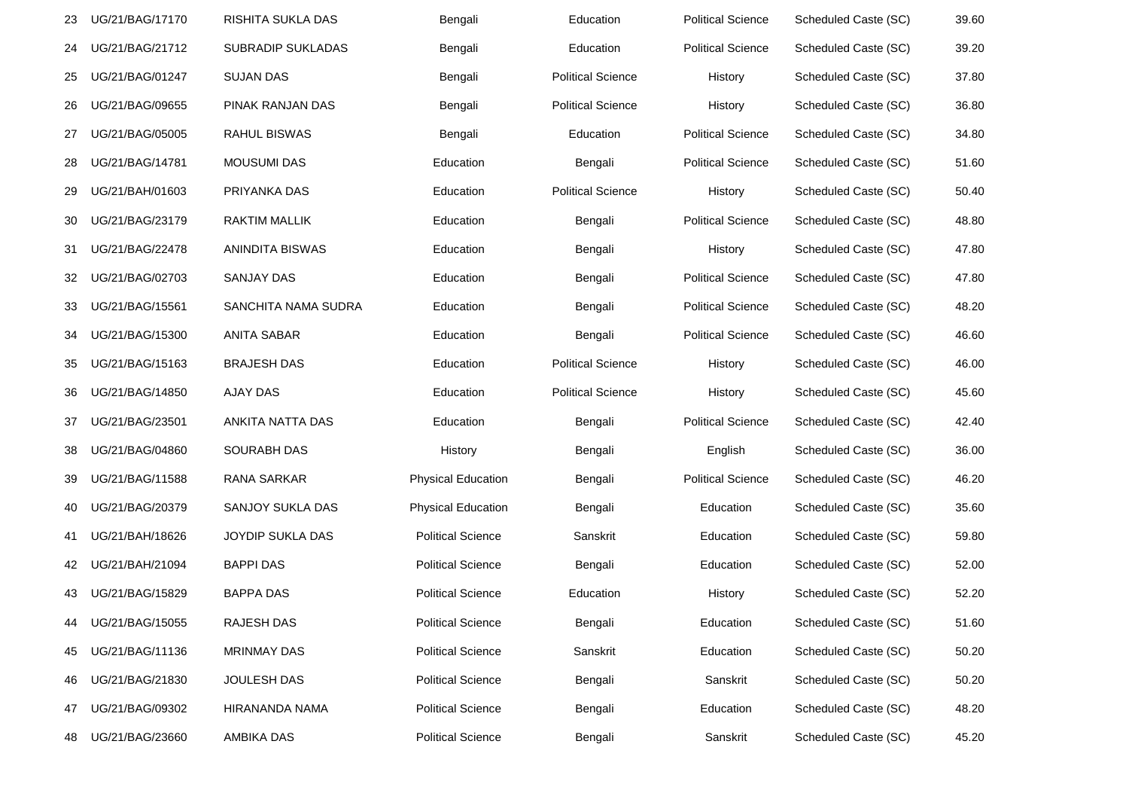| 23 | UG/21/BAG/17170 | RISHITA SUKLA DAS   | Bengali                   | Education                | <b>Political Science</b> | Scheduled Caste (SC) | 39.60 |
|----|-----------------|---------------------|---------------------------|--------------------------|--------------------------|----------------------|-------|
| 24 | UG/21/BAG/21712 | SUBRADIP SUKLADAS   | Bengali                   | Education                | <b>Political Science</b> | Scheduled Caste (SC) | 39.20 |
| 25 | UG/21/BAG/01247 | <b>SUJAN DAS</b>    | Bengali                   | <b>Political Science</b> | History                  | Scheduled Caste (SC) | 37.80 |
| 26 | UG/21/BAG/09655 | PINAK RANJAN DAS    | Bengali                   | <b>Political Science</b> | History                  | Scheduled Caste (SC) | 36.80 |
| 27 | UG/21/BAG/05005 | RAHUL BISWAS        | Bengali                   | Education                | <b>Political Science</b> | Scheduled Caste (SC) | 34.80 |
| 28 | UG/21/BAG/14781 | <b>MOUSUMI DAS</b>  | Education                 | Bengali                  | <b>Political Science</b> | Scheduled Caste (SC) | 51.60 |
| 29 | UG/21/BAH/01603 | PRIYANKA DAS        | Education                 | <b>Political Science</b> | History                  | Scheduled Caste (SC) | 50.40 |
| 30 | UG/21/BAG/23179 | RAKTIM MALLIK       | Education                 | Bengali                  | <b>Political Science</b> | Scheduled Caste (SC) | 48.80 |
| 31 | UG/21/BAG/22478 | ANINDITA BISWAS     | Education                 | Bengali                  | History                  | Scheduled Caste (SC) | 47.80 |
| 32 | UG/21/BAG/02703 | SANJAY DAS          | Education                 | Bengali                  | <b>Political Science</b> | Scheduled Caste (SC) | 47.80 |
| 33 | UG/21/BAG/15561 | SANCHITA NAMA SUDRA | Education                 | Bengali                  | <b>Political Science</b> | Scheduled Caste (SC) | 48.20 |
| 34 | UG/21/BAG/15300 | <b>ANITA SABAR</b>  | Education                 | Bengali                  | <b>Political Science</b> | Scheduled Caste (SC) | 46.60 |
| 35 | UG/21/BAG/15163 | <b>BRAJESH DAS</b>  | Education                 | <b>Political Science</b> | History                  | Scheduled Caste (SC) | 46.00 |
| 36 | UG/21/BAG/14850 | <b>AJAY DAS</b>     | Education                 | <b>Political Science</b> | History                  | Scheduled Caste (SC) | 45.60 |
| 37 | UG/21/BAG/23501 | ANKITA NATTA DAS    | Education                 | Bengali                  | <b>Political Science</b> | Scheduled Caste (SC) | 42.40 |
| 38 | UG/21/BAG/04860 | <b>SOURABH DAS</b>  | History                   | Bengali                  | English                  | Scheduled Caste (SC) | 36.00 |
| 39 | UG/21/BAG/11588 | RANA SARKAR         | <b>Physical Education</b> | Bengali                  | <b>Political Science</b> | Scheduled Caste (SC) | 46.20 |
| 40 | UG/21/BAG/20379 | SANJOY SUKLA DAS    | <b>Physical Education</b> | Bengali                  | Education                | Scheduled Caste (SC) | 35.60 |
| 41 | UG/21/BAH/18626 | JOYDIP SUKLA DAS    | <b>Political Science</b>  | Sanskrit                 | Education                | Scheduled Caste (SC) | 59.80 |
| 42 | UG/21/BAH/21094 | <b>BAPPI DAS</b>    | <b>Political Science</b>  | Bengali                  | Education                | Scheduled Caste (SC) | 52.00 |
| 43 | UG/21/BAG/15829 | <b>BAPPA DAS</b>    | <b>Political Science</b>  | Education                | History                  | Scheduled Caste (SC) | 52.20 |
| 44 | UG/21/BAG/15055 | RAJESH DAS          | <b>Political Science</b>  | Bengali                  | Education                | Scheduled Caste (SC) | 51.60 |
| 45 | UG/21/BAG/11136 | <b>MRINMAY DAS</b>  | <b>Political Science</b>  | Sanskrit                 | Education                | Scheduled Caste (SC) | 50.20 |
| 46 | UG/21/BAG/21830 | JOULESH DAS         | <b>Political Science</b>  | Bengali                  | Sanskrit                 | Scheduled Caste (SC) | 50.20 |
| 47 | UG/21/BAG/09302 | HIRANANDA NAMA      | <b>Political Science</b>  | Bengali                  | Education                | Scheduled Caste (SC) | 48.20 |
| 48 | UG/21/BAG/23660 | <b>AMBIKA DAS</b>   | <b>Political Science</b>  | Bengali                  | Sanskrit                 | Scheduled Caste (SC) | 45.20 |